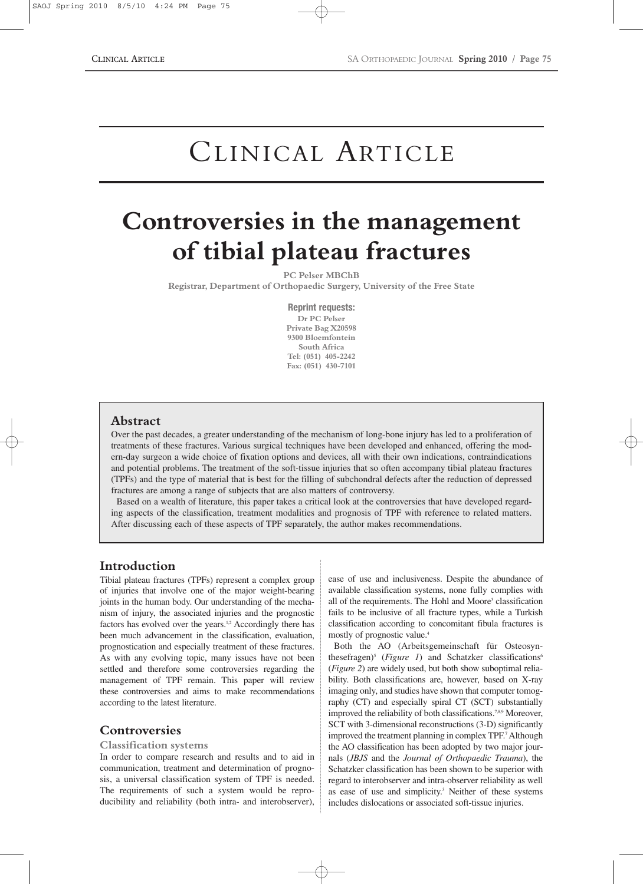# CLINICAL ARTICLE

# **Controversies in the management of tibial plateau fractures**

**PC Pelser MBChB**

**Registrar, Department of Orthopaedic Surgery, University of the Free State**

**Reprint requests: Dr PC Pelser Private Bag X20598 9300 Bloemfontein South Africa Tel: (051) 405-2242 Fax: (051) 430-7101**

## **Abstract**

Over the past decades, a greater understanding of the mechanism of long-bone injury has led to a proliferation of treatments of these fractures. Various surgical techniques have been developed and enhanced, offering the modern-day surgeon a wide choice of fixation options and devices, all with their own indications, contraindications and potential problems. The treatment of the soft-tissue injuries that so often accompany tibial plateau fractures (TPFs) and the type of material that is best for the filling of subchondral defects after the reduction of depressed fractures are among a range of subjects that are also matters of controversy.

Based on a wealth of literature, this paper takes a critical look at the controversies that have developed regarding aspects of the classification, treatment modalities and prognosis of TPF with reference to related matters. After discussing each of these aspects of TPF separately, the author makes recommendations.

## **Introduction**

Tibial plateau fractures (TPFs) represent a complex group of injuries that involve one of the major weight-bearing joints in the human body. Our understanding of the mechanism of injury, the associated injuries and the prognostic factors has evolved over the years.<sup>1,2</sup> Accordingly there has been much advancement in the classification, evaluation, prognostication and especially treatment of these fractures. As with any evolving topic, many issues have not been settled and therefore some controversies regarding the management of TPF remain. This paper will review these controversies and aims to make recommendations according to the latest literature.

## **Controversies**

## **Classification systems**

In order to compare research and results and to aid in communication, treatment and determination of prognosis, a universal classification system of TPF is needed. The requirements of such a system would be reproducibility and reliability (both intra- and interobserver), ease of use and inclusiveness. Despite the abundance of available classification systems, none fully complies with all of the requirements. The Hohl and Moore<sup>3</sup> classification fails to be inclusive of all fracture types, while a Turkish classification according to concomitant fibula fractures is mostly of prognostic value.4

Both the AO (Arbeitsgemeinschaft für Osteosynthesefragen)<sup>5</sup> (*Figure 1*) and Schatzker classifications<sup>6</sup> (*Figure 2*) are widely used, but both show suboptimal reliability. Both classifications are, however, based on X-ray imaging only, and studies have shown that computer tomography (CT) and especially spiral CT (SCT) substantially improved the reliability of both classifications.<sup>7,8,9</sup> Moreover, SCT with 3-dimensional reconstructions (3-D) significantly improved the treatment planning in complex TPF.7Although the AO classification has been adopted by two major journals (*JBJS* and the *Journal of Orthopaedic Trauma*), the Schatzker classification has been shown to be superior with regard to interobserver and intra-observer reliability as well as ease of use and simplicity. <sup>3</sup> Neither of these systems includes dislocations or associated soft-tissue injuries.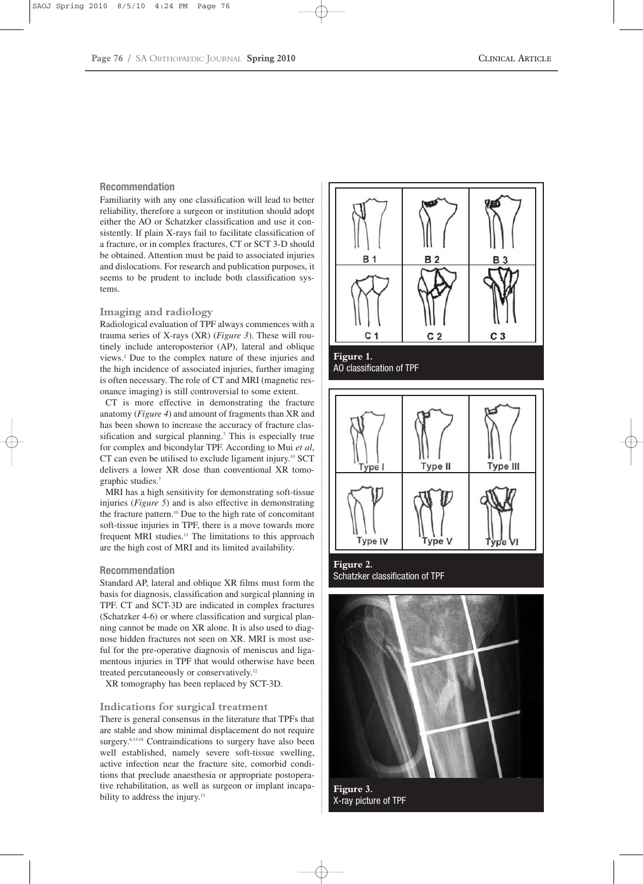#### **Recommendation**

Familiarity with any one classification will lead to better reliability, therefore a surgeon or institution should adopt either the AO or Schatzker classification and use it consistently. If plain X-rays fail to facilitate classification of a fracture, or in complex fractures, CT or SCT 3-D should be obtained. Attention must be paid to associated injuries and dislocations. For research and publication purposes, it seems to be prudent to include both classification systems.

### **Imaging and radiology**

Radiological evaluation of TPF always commences with a trauma series of X-rays (XR) (*Figure 3*). These will routinely include anteroposterior (AP), lateral and oblique views.2 Due to the complex nature of these injuries and the high incidence of associated injuries, further imaging is often necessary. The role of CT and MRI (magnetic resonance imaging) is still controversial to some extent.

CT is more effective in demonstrating the fracture anatomy (*Figure 4*) and amount of fragments than XR and has been shown to increase the accuracy of fracture classification and surgical planning.<sup>7</sup> This is especially true for complex and bicondylar TPF. According to Mui *et al*, CT can even be utilised to exclude ligament injury.10 SCT delivers a lower XR dose than conventional XR tomographic studies.7

MRI has a high sensitivity for demonstrating soft-tissue injuries (*Figure 5*) and is also effective in demonstrating the fracture pattern.10 Due to the high rate of concomitant soft-tissue injuries in TPF, there is a move towards more frequent MRI studies.<sup>11</sup> The limitations to this approach are the high cost of MRI and its limited availability.

#### **Recommendation**

Standard AP, lateral and oblique XR films must form the basis for diagnosis, classification and surgical planning in TPF. CT and SCT-3D are indicated in complex fractures (Schatzker 4-6) or where classification and surgical planning cannot be made on XR alone. It is also used to diagnose hidden fractures not seen on XR. MRI is most useful for the pre-operative diagnosis of meniscus and ligamentous injuries in TPF that would otherwise have been treated percutaneously or conservatively.<sup>12</sup>

XR tomography has been replaced by SCT-3D.

#### **Indications for surgical treatment**

There is general consensus in the literature that TPFs that are stable and show minimal displacement do not require surgery.<sup>6,13,14</sup> Contraindications to surgery have also been well established, namely severe soft-tissue swelling, active infection near the fracture site, comorbid conditions that preclude anaesthesia or appropriate postoperative rehabilitation, as well as surgeon or implant incapability to address the injury.<sup>13</sup>





**Figure 2.**  Schatzker classification of TPF



**Figure 3.**  X-ray picture of TPF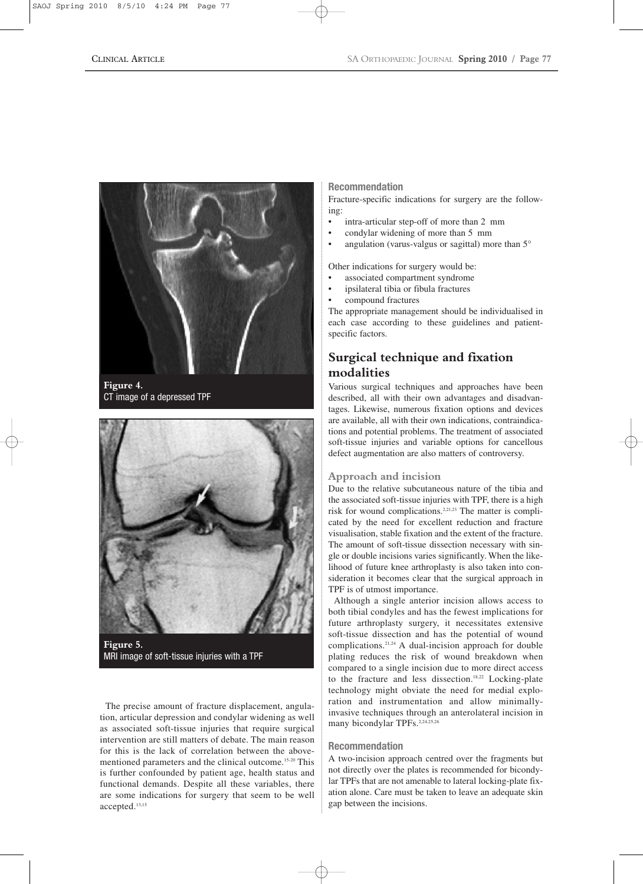

**Figure 4.**  CT image of a depressed TPF



**Figure 5.**  MRI image of soft-tissue injuries with a TPF

The precise amount of fracture displacement, angulation, articular depression and condylar widening as well as associated soft-tissue injuries that require surgical intervention are still matters of debate. The main reason for this is the lack of correlation between the abovementioned parameters and the clinical outcome. 15-20 This is further confounded by patient age, health status and functional demands. Despite all these variables, there are some indications for surgery that seem to be well accepted.13,15

## **Recommendation**

Fracture-specific indications for surgery are the following:

- intra-articular step-off of more than 2 mm
- condylar widening of more than 5 mm
- angulation (varus-valgus or sagittal) more than 5°
- Other indications for surgery would be:
- associated compartment syndrome
- ipsilateral tibia or fibula fractures
- compound fractures

The appropriate management should be individualised in each case according to these guidelines and patientspecific factors.

# **Surgical technique and fixation modalities**

Various surgical techniques and approaches have been described, all with their own advantages and disadvantages. Likewise, numerous fixation options and devices are available, all with their own indications, contraindications and potential problems. The treatment of associated soft-tissue injuries and variable options for cancellous defect augmentation are also matters of controversy.

## **Approach and incision**

Due to the relative subcutaneous nature of the tibia and the associated soft-tissue injuries with TPF, there is a high risk for wound complications.2,21,23 The matter is complicated by the need for excellent reduction and fracture visualisation, stable fixation and the extent of the fracture. The amount of soft-tissue dissection necessary with single or double incisions varies significantly. When the likelihood of future knee arthroplasty is also taken into consideration it becomes clear that the surgical approach in TPF is of utmost importance.

Although a single anterior incision allows access to both tibial condyles and has the fewest implications for future arthroplasty surgery, it necessitates extensive soft-tissue dissection and has the potential of wound complications.21,24 A dual-incision approach for double plating reduces the risk of wound breakdown when compared to a single incision due to more direct access to the fracture and less dissection.<sup>18,22</sup> Locking-plate technology might obviate the need for medial exploration and instrumentation and allow minimallyinvasive techniques through an anterolateral incision in many bicondylar TPFs.<sup>2,24,25,26</sup>

#### **Recommendation**

A two-incision approach centred over the fragments but not directly over the plates is recommended for bicondylar TPFs that are not amenable to lateral locking-plate fixation alone. Care must be taken to leave an adequate skin gap between the incisions.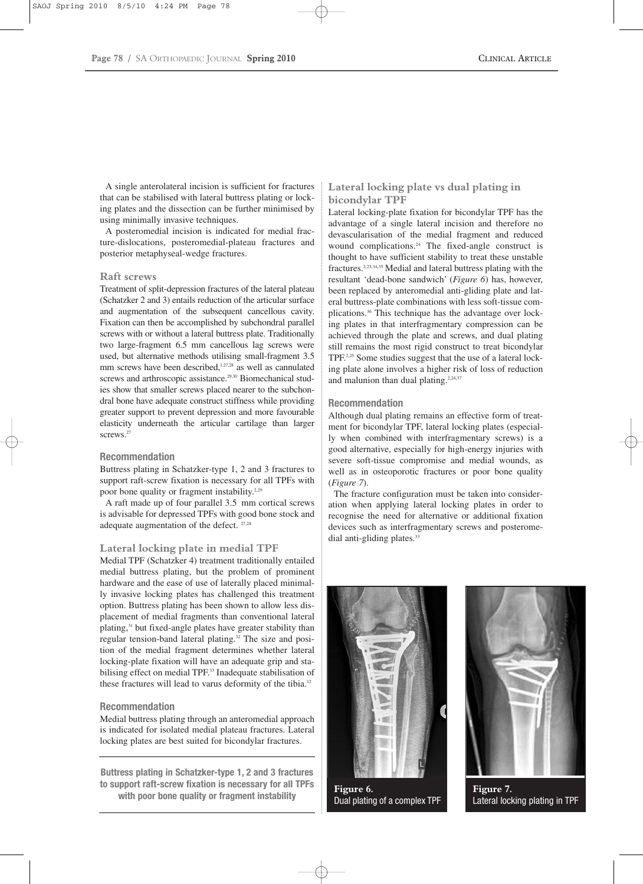A single anterolateral incision is sufficient for fractures that can be stabilised with lateral buttress plating or locking plates and the dissection can be further minimised by using minimally invasive techniques.

A posteromedial incision is indicated for medial fracture-dislocations, posteromedial-plateau fractures and posterior metaphyseal-wedge fractures.

#### **Raft screws**

Treatment of split-depression fractures of the lateral plateau (Schatzker 2 and 3) entails reduction of the articular surface and augmentation of the subsequent cancellous cavity. Fixation can then be accomplished by subchondral parallel screws with or without a lateral buttress plate. Traditionally two large-fragment 6.5 mm cancellous lag screws were used, but alternative methods utilising small-fragment 3.5 mm screws have been described,<sup>1,27,28</sup> as well as cannulated screws and arthroscopic assistance.<sup>29,30</sup> Biomechanical studies show that smaller screws placed nearer to the subchondral bone have adequate construct stiffness while providing greater support to prevent depression and more favourable elasticity underneath the articular cartilage than larger screws.<sup>27</sup>

#### **Recommendation**

Buttress plating in Schatzker-type 1, 2 and 3 fractures to support raft-screw fixation is necessary for all TPFs with poor bone quality or fragment instability.<sup>2,29</sup>

A raft made up of four parallel 3.5 mm cortical screws is advisable for depressed TPFs with good bone stock and adequate augmentation of the defect. 27,28

#### **Lateral locking plate in medial TPF**

Medial TPF (Schatzker 4) treatment traditionally entailed medial buttress plating, but the problem of prominent hardware and the ease of use of laterally placed minimally invasive locking plates has challenged this treatment option. Buttress plating has been shown to allow less displacement of medial fragments than conventional lateral plating,31 but fixed-angle plates have greater stability than regular tension-band lateral plating.32 The size and position of the medial fragment determines whether lateral locking-plate fixation will have an adequate grip and stabilising effect on medial TPF.<sup>33</sup> Inadequate stabilisation of these fractures will lead to varus deformity of the tibia.<sup>12</sup>

#### **Recommendation**

Medial buttress plating through an anteromedial approach is indicated for isolated medial plateau fractures. Lateral locking plates are best suited for bicondylar fractures.

**Buttress plating in Schatzker-type 1, 2 and 3 fractures to support raft-screw fixation is necessary for all TPFs with poor bone quality or fragment instability**

## **Lateral locking plate vs dual plating in bicondylar TPF**

Lateral locking-plate fixation for bicondylar TPF has the advantage of a single lateral incision and therefore no devascularisation of the medial fragment and reduced wound complications.24 The fixed-angle construct is thought to have sufficient stability to treat these unstable fractures.2,25,34,35 Medial and lateral buttress plating with the resultant 'dead-bone sandwich' (*Figure 6*) has, however, been replaced by anteromedial anti-gliding plate and lateral buttress-plate combinations with less soft-tissue complications.36 This technique has the advantage over locking plates in that interfragmentary compression can be achieved through the plate and screws, and dual plating still remains the most rigid construct to treat bicondylar TPF.<sup>2,25</sup> Some studies suggest that the use of a lateral locking plate alone involves a higher risk of loss of reduction and malunion than dual plating.<sup>2,24,37</sup>

#### **Recommendation**

Although dual plating remains an effective form of treatment for bicondylar TPF, lateral locking plates (especially when combined with interfragmentary screws) is a good alternative, especially for high-energy injuries with severe soft-tissue compromise and medial wounds, as well as in osteoporotic fractures or poor bone quality (*Figure 7*).

The fracture configuration must be taken into consideration when applying lateral locking plates in order to recognise the need for alternative or additional fixation devices such as interfragmentary screws and posteromedial anti-gliding plates.<sup>33</sup>



**Figure 6.**  Dual plating of a complex TPF



**Figure 7.**  Lateral locking plating in TPF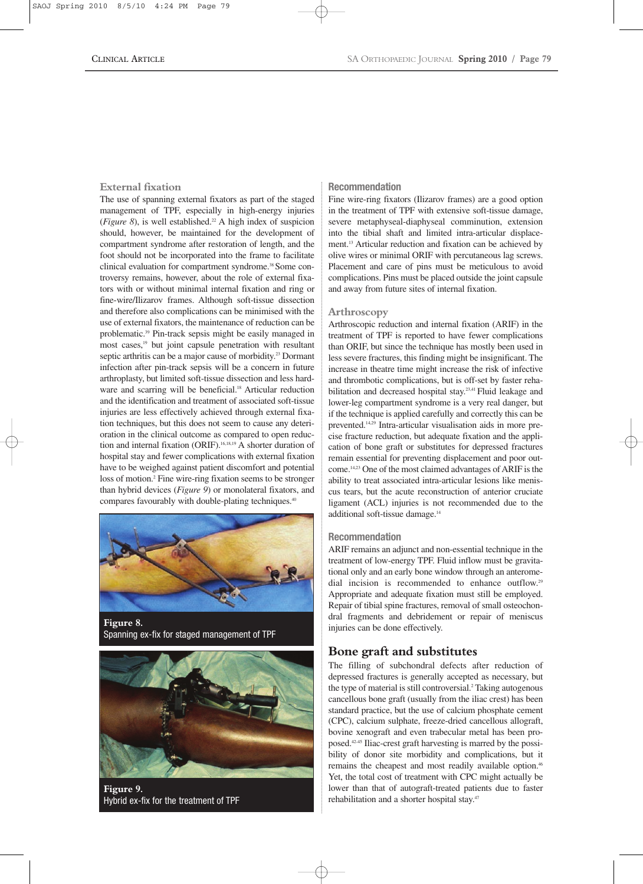#### **External fixation**

The use of spanning external fixators as part of the staged management of TPF, especially in high-energy injuries (*Figure 8*), is well established.22 A high index of suspicion should, however, be maintained for the development of compartment syndrome after restoration of length, and the foot should not be incorporated into the frame to facilitate clinical evaluation for compartment syndrome.<sup>38</sup> Some controversy remains, however, about the role of external fixators with or without minimal internal fixation and ring or fine-wire/Ilizarov frames. Although soft-tissue dissection and therefore also complications can be minimised with the use of external fixators, the maintenance of reduction can be problematic.39 Pin-track sepsis might be easily managed in most cases,19 but joint capsule penetration with resultant septic arthritis can be a major cause of morbidity.<sup>23</sup> Dormant infection after pin-track sepsis will be a concern in future arthroplasty, but limited soft-tissue dissection and less hardware and scarring will be beneficial.<sup>18</sup> Articular reduction and the identification and treatment of associated soft-tissue injuries are less effectively achieved through external fixation techniques, but this does not seem to cause any deterioration in the clinical outcome as compared to open reduction and internal fixation (ORIF).<sup>16,18,19</sup> A shorter duration of hospital stay and fewer complications with external fixation have to be weighed against patient discomfort and potential loss of motion.<sup>2</sup> Fine wire-ring fixation seems to be stronger than hybrid devices (*Figure 9*) or monolateral fixators, and compares favourably with double-plating techniques.<sup>40</sup>



**Figure 8.**  Spanning ex-fix for staged management of TPF



**Figure 9.**  Hybrid ex-fix for the treatment of TPF

## **Recommendation**

Fine wire-ring fixators (Ilizarov frames) are a good option in the treatment of TPF with extensive soft-tissue damage, severe metaphyseal-diaphyseal comminution, extension into the tibial shaft and limited intra-articular displacement.13 Articular reduction and fixation can be achieved by olive wires or minimal ORIF with percutaneous lag screws. Placement and care of pins must be meticulous to avoid complications. Pins must be placed outside the joint capsule and away from future sites of internal fixation.

#### **Arthroscopy**

Arthroscopic reduction and internal fixation (ARIF) in the treatment of TPF is reported to have fewer complications than ORIF, but since the technique has mostly been used in less severe fractures, this finding might be insignificant. The increase in theatre time might increase the risk of infective and thrombotic complications, but is off-set by faster rehabilitation and decreased hospital stay.<sup>23,41</sup> Fluid leakage and lower-leg compartment syndrome is a very real danger, but if the technique is applied carefully and correctly this can be prevented.14,29 Intra-articular visualisation aids in more precise fracture reduction, but adequate fixation and the application of bone graft or substitutes for depressed fractures remain essential for preventing displacement and poor outcome. 14,23 One of the most claimed advantages of ARIF is the ability to treat associated intra-articular lesions like meniscus tears, but the acute reconstruction of anterior cruciate ligament (ACL) injuries is not recommended due to the additional soft-tissue damage.14

#### **Recommendation**

ARIF remains an adjunct and non-essential technique in the treatment of low-energy TPF. Fluid inflow must be gravitational only and an early bone window through an anteromedial incision is recommended to enhance outflow.<sup>29</sup> Appropriate and adequate fixation must still be employed. Repair of tibial spine fractures, removal of small osteochondral fragments and debridement or repair of meniscus injuries can be done effectively.

## **Bone graft and substitutes**

The filling of subchondral defects after reduction of depressed fractures is generally accepted as necessary, but the type of material is still controversial.<sup>2</sup> Taking autogenous cancellous bone graft (usually from the iliac crest) has been standard practice, but the use of calcium phosphate cement (CPC), calcium sulphate, freeze-dried cancellous allograft, bovine xenograft and even trabecular metal has been proposed. 42-45 Iliac-crest graft harvesting is marred by the possibility of donor site morbidity and complications, but it remains the cheapest and most readily available option.<sup>46</sup> Yet, the total cost of treatment with CPC might actually be lower than that of autograft-treated patients due to faster rehabilitation and a shorter hospital stay.47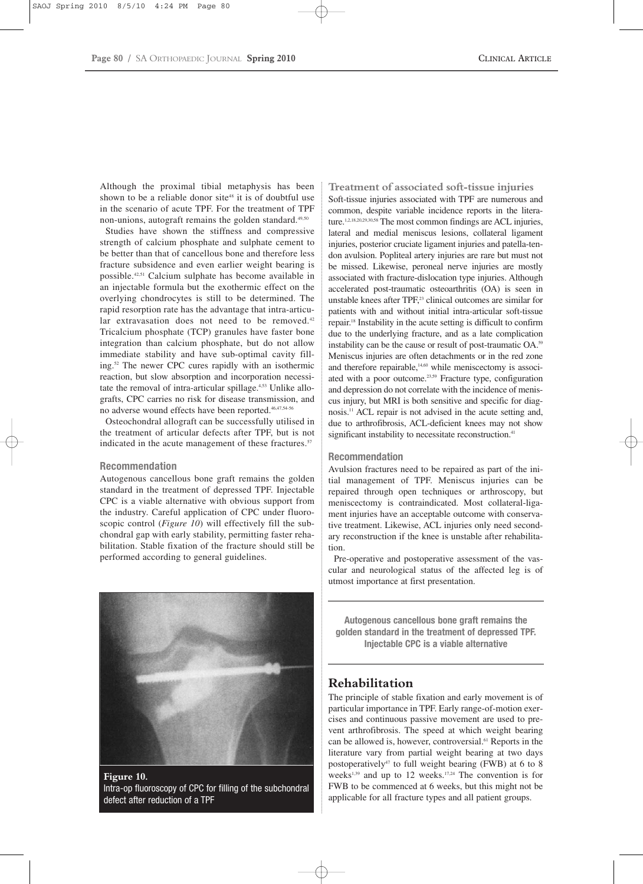Although the proximal tibial metaphysis has been shown to be a reliable donor site<sup>48</sup> it is of doubtful use in the scenario of acute TPF. For the treatment of TPF non-unions, autograft remains the golden standard. $49,50$ 

Studies have shown the stiffness and compressive strength of calcium phosphate and sulphate cement to be better than that of cancellous bone and therefore less fracture subsidence and even earlier weight bearing is possible.42,51 Calcium sulphate has become available in an injectable formula but the exothermic effect on the overlying chondrocytes is still to be determined. The rapid resorption rate has the advantage that intra-articular extravasation does not need to be removed.<sup>42</sup> Tricalcium phosphate (TCP) granules have faster bone integration than calcium phosphate, but do not allow immediate stability and have sub-optimal cavity filling.52 The newer CPC cures rapidly with an isothermic reaction, but slow absorption and incorporation necessitate the removal of intra-articular spillage.<sup>4,53</sup> Unlike allografts, CPC carries no risk for disease transmission, and no adverse wound effects have been reported.46,47,54-56

Osteochondral allograft can be successfully utilised in the treatment of articular defects after TPF, but is not indicated in the acute management of these fractures.<sup>57</sup>

#### **Recommendation**

Autogenous cancellous bone graft remains the golden standard in the treatment of depressed TPF. Injectable CPC is a viable alternative with obvious support from the industry. Careful application of CPC under fluoroscopic control (*Figure 10*) will effectively fill the subchondral gap with early stability, permitting faster rehabilitation. Stable fixation of the fracture should still be performed according to general guidelines.



**Figure 10.**  Intra-op fluoroscopy of CPC for filling of the subchondral defect after reduction of a TPF

**Treatment of associated soft-tissue injuries** Soft-tissue injuries associated with TPF are numerous and common, despite variable incidence reports in the literature.1,2,18,20,29,30,58 The most common findings are ACL injuries, lateral and medial meniscus lesions, collateral ligament injuries, posterior cruciate ligament injuries and patella-tendon avulsion. Popliteal artery injuries are rare but must not be missed. Likewise, peroneal nerve injuries are mostly associated with fracture-dislocation type injuries. Although accelerated post-traumatic osteoarthritis (OA) is seen in unstable knees after TPF,<sup>23</sup> clinical outcomes are similar for patients with and without initial intra-articular soft-tissue repair.18 Instability in the acute setting is difficult to confirm due to the underlying fracture, and as a late complication instability can be the cause or result of post-traumatic OA.59 Meniscus injuries are often detachments or in the red zone and therefore repairable,<sup>14,60</sup> while meniscectomy is associated with a poor outcome.<sup>23,59</sup> Fracture type, configuration and depression do not correlate with the incidence of meniscus injury, but MRI is both sensitive and specific for diagnosis.11 ACL repair is not advised in the acute setting and, due to arthrofibrosis, ACL-deficient knees may not show significant instability to necessitate reconstruction.<sup>41</sup>

#### **Recommendation**

Avulsion fractures need to be repaired as part of the initial management of TPF. Meniscus injuries can be repaired through open techniques or arthroscopy, but meniscectomy is contraindicated. Most collateral-ligament injuries have an acceptable outcome with conservative treatment. Likewise, ACL injuries only need secondary reconstruction if the knee is unstable after rehabilitation.

Pre-operative and postoperative assessment of the vascular and neurological status of the affected leg is of utmost importance at first presentation.

**Autogenous cancellous bone graft remains the golden standard in the treatment of depressed TPF. Injectable CPC is a viable alternative**

## **Rehabilitation**

The principle of stable fixation and early movement is of particular importance in TPF. Early range-of-motion exercises and continuous passive movement are used to prevent arthrofibrosis. The speed at which weight bearing can be allowed is, however, controversial.<sup>61</sup> Reports in the literature vary from partial weight bearing at two days postoperatively<sup>47</sup> to full weight bearing (FWB) at 6 to 8 weeks<sup>1,39</sup> and up to 12 weeks.<sup>17,24</sup> The convention is for FWB to be commenced at 6 weeks, but this might not be applicable for all fracture types and all patient groups.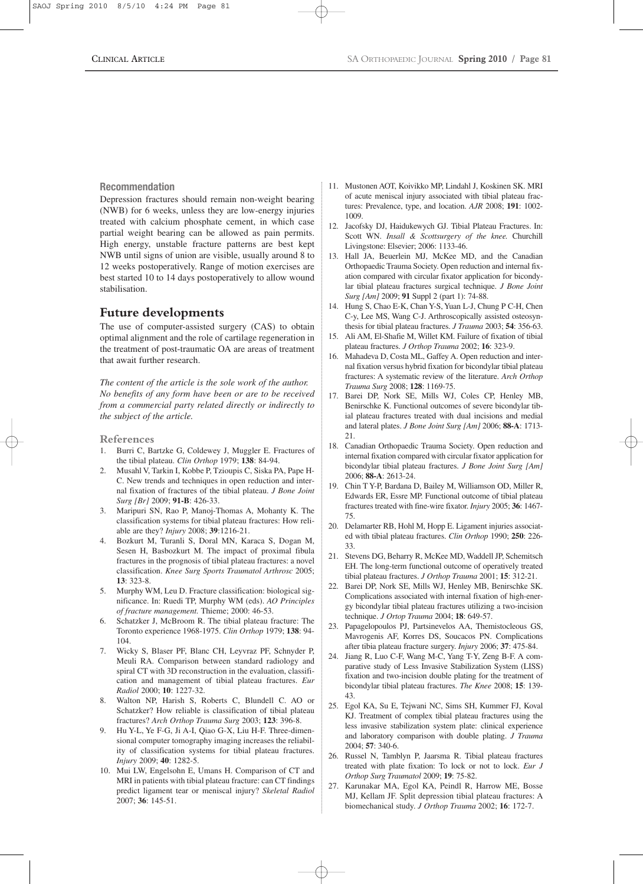#### **Recommendation**

Depression fractures should remain non-weight bearing (NWB) for 6 weeks, unless they are low-energy injuries treated with calcium phosphate cement, in which case partial weight bearing can be allowed as pain permits. High energy, unstable fracture patterns are best kept NWB until signs of union are visible, usually around 8 to 12 weeks postoperatively. Range of motion exercises are best started 10 to 14 days postoperatively to allow wound stabilisation.

## **Future developments**

The use of computer-assisted surgery (CAS) to obtain optimal alignment and the role of cartilage regeneration in the treatment of post-traumatic OA are areas of treatment that await further research.

*The content of the article is the sole work of the author. No benefits of any form have been or are to be received from a commercial party related directly or indirectly to the subject of the article.*

#### **References**

- 1. Burri C, Bartzke G, Coldewey J, Muggler E. Fractures of the tibial plateau. *Clin Orthop* 1979; **138**: 84-94.
- 2. Musahl V, Tarkin I, Kobbe P, Tzioupis C, Siska PA, Pape H-C. New trends and techniques in open reduction and internal fixation of fractures of the tibial plateau. *J Bone Joint Surg [Br]* 2009; **91-B**: 426-33.
- 3. Maripuri SN, Rao P, Manoj-Thomas A, Mohanty K. The classification systems for tibial plateau fractures: How reliable are they? *Injury* 2008; **39**:1216-21.
- 4. Bozkurt M, Turanli S, Doral MN, Karaca S, Dogan M, Sesen H, Basbozkurt M. The impact of proximal fibula fractures in the prognosis of tibial plateau fractures: a novel classification. *Knee Surg Sports Traumatol Arthrosc* 2005; **13**: 323-8.
- 5. Murphy WM, Leu D. Fracture classification: biological significance. In: Ruedi TP, Murphy WM (eds). *AO Principles of fracture management.* Thieme; 2000: 46-53.
- 6. Schatzker J, McBroom R. The tibial plateau fracture: The Toronto experience 1968-1975. *Clin Orthop* 1979; **138**: 94- 104.
- 7. Wicky S, Blaser PF, Blanc CH, Leyvraz PF, Schnyder P, Meuli RA. Comparison between standard radiology and spiral CT with 3D reconstruction in the evaluation, classification and management of tibial plateau fractures. *Eur Radiol* 2000; **10**: 1227-32.
- 8. Walton NP, Harish S, Roberts C, Blundell C. AO or Schatzker? How reliable is classification of tibial plateau fractures? *Arch Orthop Trauma Surg* 2003; **123**: 396-8.
- 9. Hu Y-L, Ye F-G, Ji A-I, Qiao G-X, Liu H-F. Three-dimensional computer tomography imaging increases the reliability of classification systems for tibial plateau fractures. *Injury* 2009; **40**: 1282-5.
- 10. Mui LW, Engelsohn E, Umans H. Comparison of CT and MRI in patients with tibial plateau fracture: can CT findings predict ligament tear or meniscal injury? *Skeletal Radiol* 2007; **36**: 145-51.
- 11. Mustonen AOT, Koivikko MP, Lindahl J, Koskinen SK. MRI of acute meniscal injury associated with tibial plateau fractures: Prevalence, type, and location. *AJR* 2008; **191**: 1002- 1009.
- 12. Jacofsky DJ, Haidukewych GJ. Tibial Plateau Fractures. In: Scott WN. *Insall & Scottsurgery of the knee.* Churchill Livingstone: Elsevier; 2006: 1133-46.
- 13. Hall JA, Beuerlein MJ, McKee MD, and the Canadian Orthopaedic Trauma Society. Open reduction and internal fixation compared with circular fixator application for bicondylar tibial plateau fractures surgical technique. *J Bone Joint Surg [Am]* 2009; **91** Suppl 2 (part 1): 74-88.
- 14. Hung S, Chao E-K, Chan Y-S, Yuan L-J, Chung P C-H, Chen C-y, Lee MS, Wang C-J. Arthroscopically assisted osteosynthesis for tibial plateau fractures. *J Trauma* 2003; **54**: 356-63.
- 15. Ali AM, El-Shafie M, Willet KM. Failure of fixation of tibial plateau fractures. *J Orthop Trauma* 2002; **16**: 323-9.
- 16. Mahadeva D, Costa ML, Gaffey A. Open reduction and internal fixation versus hybrid fixation for bicondylar tibial plateau fractures: A systematic review of the literature. *Arch Orthop Trauma Surg* 2008; **128**: 1169-75.
- 17. Barei DP, Nork SE, Mills WJ, Coles CP, Henley MB, Benirschke K. Functional outcomes of severe bicondylar tibial plateau fractures treated with dual incisions and medial and lateral plates. *J Bone Joint Surg [Am]* 2006; **88-A**: 1713- 21.
- 18. Canadian Orthopaedic Trauma Society. Open reduction and internal fixation compared with circular fixator application for bicondylar tibial plateau fractures. *J Bone Joint Surg [Am]* 2006; **88-A**: 2613-24.
- 19. Chin T Y-P, Bardana D, Bailey M, Williamson OD, Miller R, Edwards ER, Essre MP. Functional outcome of tibial plateau fractures treated with fine-wire fixator. *Injury* 2005; **36**: 1467- 75.
- 20. Delamarter RB, Hohl M, Hopp E. Ligament injuries associated with tibial plateau fractures. *Clin Orthop* 1990; **250**: 226- 33.
- 21. Stevens DG, Beharry R, McKee MD, Waddell JP, Schemitsch EH. The long-term functional outcome of operatively treated tibial plateau fractures. *J Orthop Trauma* 2001; **15**: 312-21.
- 22. Barei DP, Nork SE, Mills WJ, Henley MB, Benirschke SK. Complications associated with internal fixation of high-energy bicondylar tibial plateau fractures utilizing a two-incision technique. *J Ortop Trauma* 2004; **18**: 649-57.
- 23. Papagelopoulos PJ, Partsinevelos AA, Themistocleous GS, Mavrogenis AF, Korres DS, Soucacos PN. Complications after tibia plateau fracture surgery. *Injury* 2006; **37**: 475-84.
- 24. Jiang R, Luo C-F, Wang M-C, Yang T-Y, Zeng B-F. A comparative study of Less Invasive Stabilization System (LISS) fixation and two-incision double plating for the treatment of bicondylar tibial plateau fractures. *The Knee* 2008; **15**: 139- 43.
- 25. Egol KA, Su E, Tejwani NC, Sims SH, Kummer FJ, Koval KJ. Treatment of complex tibial plateau fractures using the less invasive stabilization system plate: clinical experience and laboratory comparison with double plating. *J Trauma* 2004; **57**: 340-6.
- 26. Russel N, Tamblyn P, Jaarsma R. Tibial plateau fractures treated with plate fixation: To lock or not to lock. *Eur J Orthop Surg Traumatol* 2009; **19**: 75-82.
- 27. Karunakar MA, Egol KA, Peindl R, Harrow ME, Bosse MJ, Kellam JF. Split depression tibial plateau fractures: A biomechanical study. *J Orthop Trauma* 2002; **16**: 172-7.